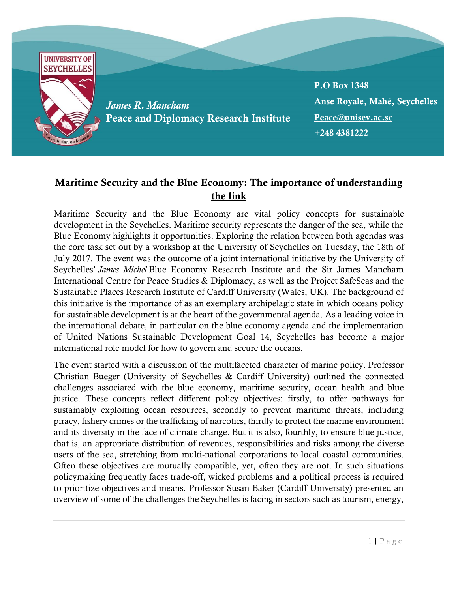

## Maritime Security and the Blue Economy: The importance of understanding the link

Maritime Security and the Blue Economy are vital policy concepts for sustainable development in the Seychelles. Maritime security represents the danger of the sea, while the Blue Economy highlights it opportunities. Exploring the relation between both agendas was the core task set out by a workshop at the University of Seychelles on Tuesday, the 18th of July 2017. The event was the outcome of a joint international initiative by the University of Seychelles' *James Michel* Blue Economy Research Institute and the Sir James Mancham International Centre for Peace Studies & Diplomacy, as well as the Project SafeSeas and the Sustainable Places Research Institute of Cardiff University (Wales, UK). The background of this initiative is the importance of as an exemplary archipelagic state in which oceans policy for sustainable development is at the heart of the governmental agenda. As a leading voice in the international debate, in particular on the blue economy agenda and the implementation of United Nations Sustainable Development Goal 14, Seychelles has become a major international role model for how to govern and secure the oceans.

The event started with a discussion of the multifaceted character of marine policy. Professor Christian Bueger (University of Seychelles & Cardiff University) outlined the connected challenges associated with the blue economy, maritime security, ocean health and blue justice. These concepts reflect different policy objectives: firstly, to offer pathways for sustainably exploiting ocean resources, secondly to prevent maritime threats, including piracy, fishery crimes or the trafficking of narcotics, thirdly to protect the marine environment and its diversity in the face of climate change. But it is also, fourthly, to ensure blue justice, that is, an appropriate distribution of revenues, responsibilities and risks among the diverse users of the sea, stretching from multi-national corporations to local coastal communities. Often these objectives are mutually compatible, yet, often they are not. In such situations policymaking frequently faces trade-off, wicked problems and a political process is required to prioritize objectives and means. Professor Susan Baker (Cardiff University) presented an overview of some of the challenges the Seychelles is facing in sectors such as tourism, energy,